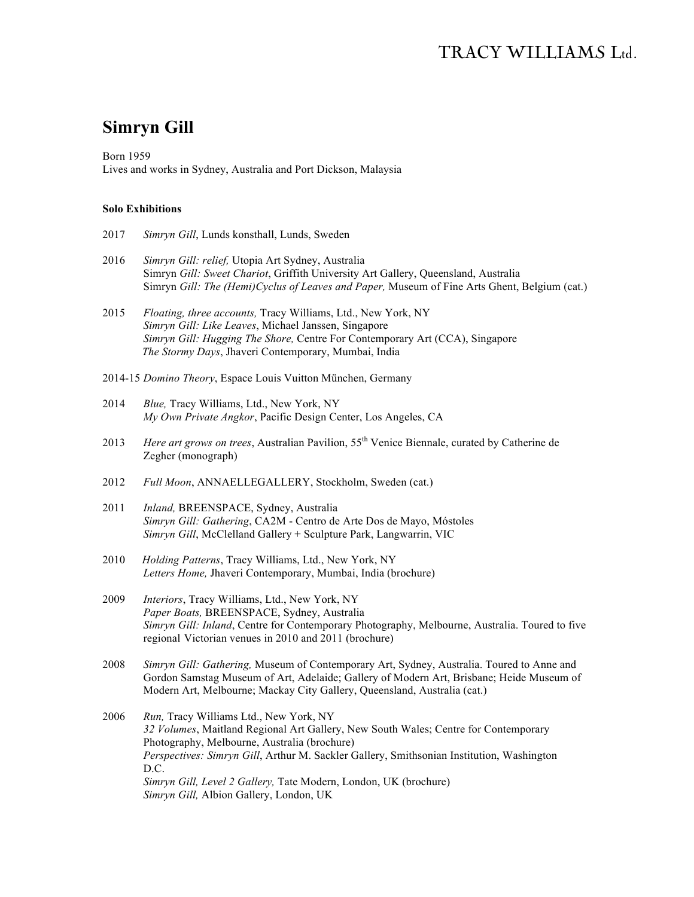# **Simryn Gill**

Born 1959 Lives and works in Sydney, Australia and Port Dickson, Malaysia

#### **Solo Exhibitions**

- 2017 *Simryn Gill*, Lunds konsthall, Lunds, Sweden
- 2016 *Simryn Gill: relief,* Utopia Art Sydney, Australia Simryn *Gill: Sweet Chariot*, Griffith University Art Gallery, Queensland, Australia Simryn *Gill: The (Hemi)Cyclus of Leaves and Paper,* Museum of Fine Arts Ghent, Belgium (cat.)
- 2015 *Floating, three accounts,* Tracy Williams, Ltd., New York, NY *Simryn Gill: Like Leaves*, Michael Janssen, Singapore *Simryn Gill: Hugging The Shore,* Centre For Contemporary Art (CCA), Singapore  *The Stormy Days*, Jhaveri Contemporary, Mumbai, India
- 2014-15 *Domino Theory*, Espace Louis Vuitton München, Germany
- 2014 *Blue,* Tracy Williams, Ltd., New York, NY *My Own Private Angkor*, Pacific Design Center, Los Angeles, CA
- 2013 *Here art grows on trees*, Australian Pavilion, 55th Venice Biennale, curated by Catherine de Zegher (monograph)
- 2012 *Full Moon*, ANNAELLEGALLERY, Stockholm, Sweden (cat.)
- 2011 *Inland,* BREENSPACE, Sydney, Australia *Simryn Gill: Gathering*, CA2M - Centro de Arte Dos de Mayo, Móstoles *Simryn Gill*, McClelland Gallery + Sculpture Park, Langwarrin, VIC
- 2010*Holding Patterns*, Tracy Williams, Ltd., New York, NY *Letters Home,* Jhaveri Contemporary, Mumbai, India (brochure)
- 2009 *Interiors*, Tracy Williams, Ltd., New York, NY *Paper Boats,* BREENSPACE, Sydney, Australia *Simryn Gill: Inland*, Centre for Contemporary Photography, Melbourne, Australia. Toured to five regional Victorian venues in 2010 and 2011 (brochure)
- 2008 *Simryn Gill: Gathering,* Museum of Contemporary Art, Sydney, Australia. Toured to Anne and Gordon Samstag Museum of Art, Adelaide; Gallery of Modern Art, Brisbane; Heide Museum of Modern Art, Melbourne; Mackay City Gallery, Queensland, Australia (cat.)
- 2006 *Run,* Tracy Williams Ltd., New York, NY *32 Volumes*, Maitland Regional Art Gallery, New South Wales; Centre for Contemporary Photography, Melbourne, Australia (brochure) *Perspectives: Simryn Gill*, Arthur M. Sackler Gallery, Smithsonian Institution, Washington D.C. *Simryn Gill, Level 2 Gallery,* Tate Modern, London, UK (brochure) *Simryn Gill,* Albion Gallery, London, UK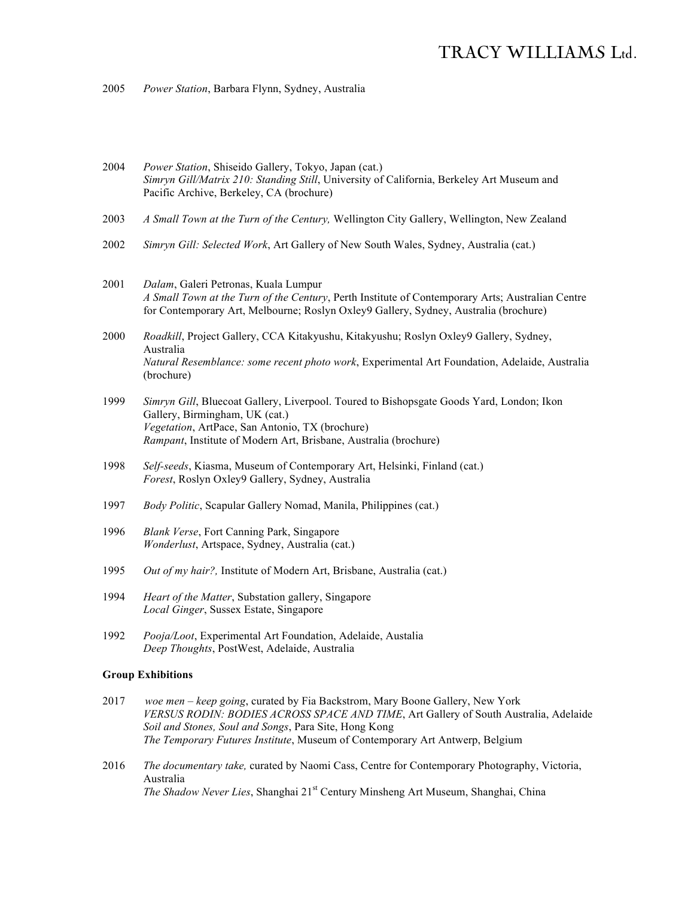2005 *Power Station*, Barbara Flynn, Sydney, Australia

- 2004 *Power Station*, Shiseido Gallery, Tokyo, Japan (cat.) *Simryn Gill/Matrix 210: Standing Still*, University of California, Berkeley Art Museum and Pacific Archive, Berkeley, CA (brochure)
- 2003 *A Small Town at the Turn of the Century,* Wellington City Gallery, Wellington, New Zealand
- 2002 *Simryn Gill: Selected Work*, Art Gallery of New South Wales, Sydney, Australia (cat.)
- 2001 *Dalam*, Galeri Petronas, Kuala Lumpur *A Small Town at the Turn of the Century*, Perth Institute of Contemporary Arts; Australian Centre for Contemporary Art, Melbourne; Roslyn Oxley9 Gallery, Sydney, Australia (brochure)
- 2000 *Roadkill*, Project Gallery, CCA Kitakyushu, Kitakyushu; Roslyn Oxley9 Gallery, Sydney, Australia *Natural Resemblance: some recent photo work*, Experimental Art Foundation, Adelaide, Australia (brochure)
- 1999 *Simryn Gill*, Bluecoat Gallery, Liverpool. Toured to Bishopsgate Goods Yard, London; Ikon Gallery, Birmingham, UK (cat.) *Vegetation*, ArtPace, San Antonio, TX (brochure) *Rampant*, Institute of Modern Art, Brisbane, Australia (brochure)
- 1998 *Self-seeds*, Kiasma, Museum of Contemporary Art, Helsinki, Finland (cat.) *Forest*, Roslyn Oxley9 Gallery, Sydney, Australia
- 1997 *Body Politic*, Scapular Gallery Nomad, Manila, Philippines (cat.)
- 1996 *Blank Verse*, Fort Canning Park, Singapore *Wonderlust*, Artspace, Sydney, Australia (cat.)
- 1995 *Out of my hair?,* Institute of Modern Art, Brisbane, Australia (cat.)
- 1994 *Heart of the Matter*, Substation gallery, Singapore *Local Ginger*, Sussex Estate, Singapore
- 1992 *Pooja/Loot*, Experimental Art Foundation, Adelaide, Austalia *Deep Thoughts*, PostWest, Adelaide, Australia

#### **Group Exhibitions**

- 2017 *woe men – keep going*, curated by Fia Backstrom, Mary Boone Gallery, New York *VERSUS RODIN: BODIES ACROSS SPACE AND TIME*, Art Gallery of South Australia, Adelaide *Soil and Stones, Soul and Songs*, Para Site, Hong Kong *The Temporary Futures Institute*, Museum of Contemporary Art Antwerp, Belgium
- 2016 *The documentary take,* curated by Naomi Cass, Centre for Contemporary Photography, Victoria, Australia *The Shadow Never Lies*, Shanghai 21st Century Minsheng Art Museum, Shanghai, China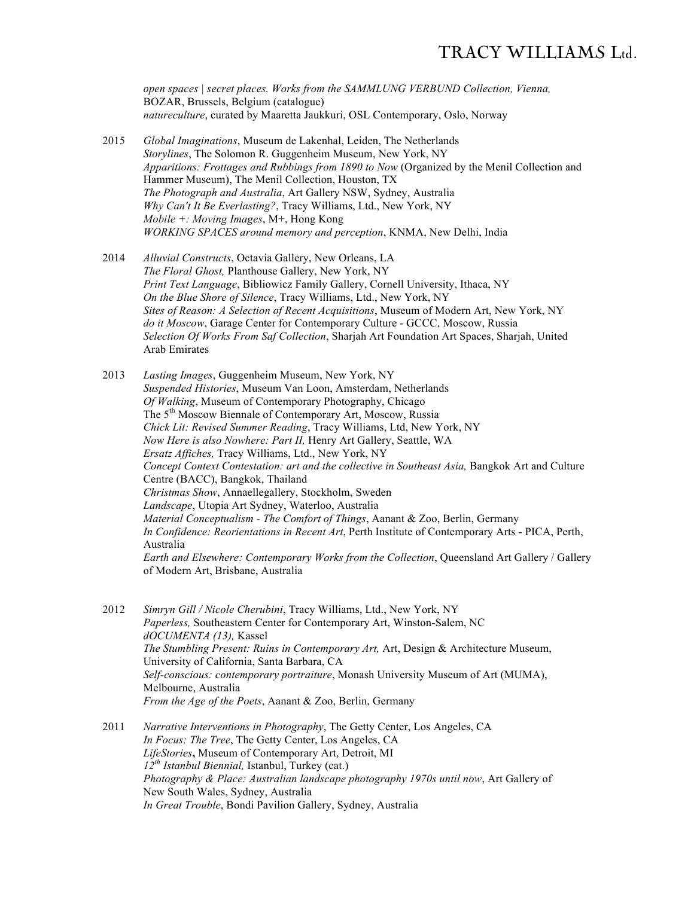*open spaces | secret places. Works from the SAMMLUNG VERBUND Collection, Vienna,*  BOZAR, Brussels, Belgium (catalogue) *natureculture*, curated by Maaretta Jaukkuri, OSL Contemporary, Oslo, Norway

- 2015 *Global Imaginations*, Museum de Lakenhal, Leiden, The Netherlands *Storylines*, The Solomon R. Guggenheim Museum, New York, NY *Apparitions: Frottages and Rubbings from 1890 to Now* (Organized by the Menil Collection and Hammer Museum), The Menil Collection, Houston, TX *The Photograph and Australia*, Art Gallery NSW, Sydney, Australia *Why Can't It Be Everlasting?*, Tracy Williams, Ltd., New York, NY *Mobile +: Moving Images*, M+, Hong Kong *WORKING SPACES around memory and perception*, KNMA, New Delhi, India
- 2014 *Alluvial Constructs*, Octavia Gallery, New Orleans, LA *The Floral Ghost,* Planthouse Gallery, New York, NY *Print Text Language*, Bibliowicz Family Gallery, Cornell University, Ithaca, NY *On the Blue Shore of Silence*, Tracy Williams, Ltd., New York, NY *Sites of Reason: A Selection of Recent Acquisitions*, Museum of Modern Art, New York, NY *do it Moscow*, Garage Center for Contemporary Culture - GCCC, Moscow, Russia *Selection Of Works From Saf Collection*, Sharjah Art Foundation Art Spaces, Sharjah, United Arab Emirates
- 2013 *Lasting Images*, Guggenheim Museum, New York, NY *Suspended Histories*, Museum Van Loon, Amsterdam, Netherlands *Of Walking*, Museum of Contemporary Photography, Chicago The 5<sup>th</sup> Moscow Biennale of Contemporary Art, Moscow, Russia *Chick Lit: Revised Summer Reading*, Tracy Williams, Ltd, New York, NY *Now Here is also Nowhere: Part II,* Henry Art Gallery, Seattle, WA *Ersatz Affiches,* Tracy Williams, Ltd., New York, NY *Concept Context Contestation: art and the collective in Southeast Asia,* Bangkok Art and Culture Centre (BACC), Bangkok, Thailand *Christmas Show*, Annaellegallery, Stockholm, Sweden *Landscape*, Utopia Art Sydney, Waterloo, Australia *Material Conceptualism - The Comfort of Things*, Aanant & Zoo, Berlin, Germany *In Confidence: Reorientations in Recent Art*, Perth Institute of Contemporary Arts - PICA, Perth, Australia *Earth and Elsewhere: Contemporary Works from the Collection*, Queensland Art Gallery / Gallery of Modern Art, Brisbane, Australia
- 2012 *Simryn Gill / Nicole Cherubini*, Tracy Williams, Ltd., New York, NY *Paperless,* Southeastern Center for Contemporary Art, Winston-Salem, NC *dOCUMENTA (13),* Kassel *The Stumbling Present: Ruins in Contemporary Art,* Art, Design & Architecture Museum, University of California, Santa Barbara, CA *Self-conscious: contemporary portraiture*, Monash University Museum of Art (MUMA), Melbourne, Australia *From the Age of the Poets*, Aanant & Zoo, Berlin, Germany
- 2011 *Narrative Interventions in Photography*, The Getty Center, Los Angeles, CA *In Focus: The Tree*, The Getty Center, Los Angeles, CA *LifeStories***,** Museum of Contemporary Art, Detroit, MI *12th Istanbul Biennial,* Istanbul, Turkey (cat.) *Photography & Place: Australian landscape photography 1970s until now*, Art Gallery of New South Wales, Sydney, Australia *In Great Trouble*, Bondi Pavilion Gallery, Sydney, Australia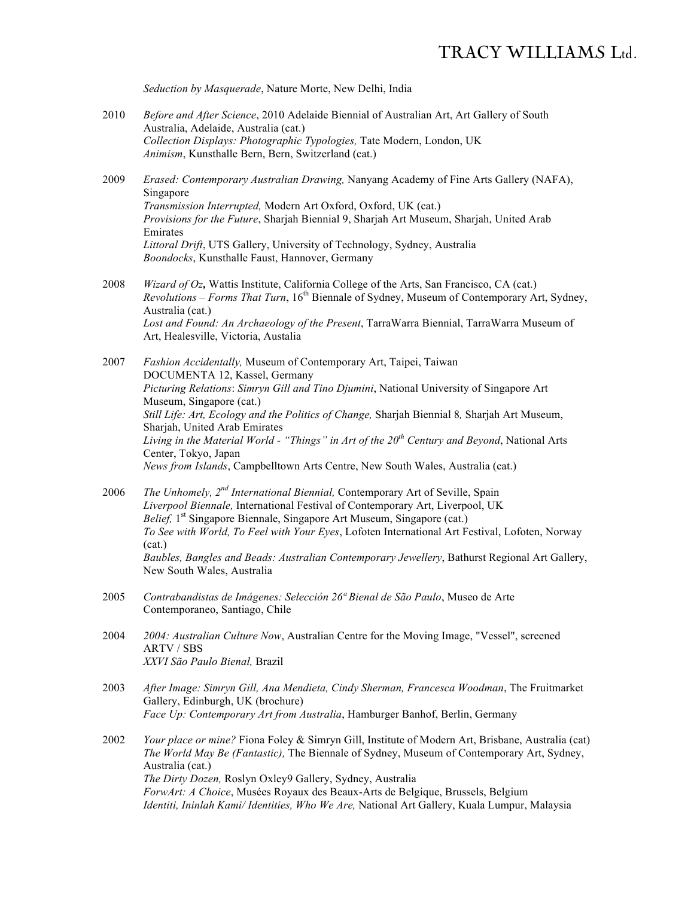*Seduction by Masquerade*, Nature Morte, New Delhi, India

- 2010 *Before and After Science*, 2010 Adelaide Biennial of Australian Art, Art Gallery of South Australia, Adelaide, Australia (cat.) *Collection Displays: Photographic Typologies,* Tate Modern, London, UK *Animism*, Kunsthalle Bern, Bern, Switzerland (cat.)
- 2009 *Erased: Contemporary Australian Drawing,* Nanyang Academy of Fine Arts Gallery (NAFA), Singapore *Transmission Interrupted,* Modern Art Oxford, Oxford, UK (cat.) *Provisions for the Future*, Sharjah Biennial 9, Sharjah Art Museum, Sharjah, United Arab Emirates *Littoral Drift*, UTS Gallery, University of Technology, Sydney, Australia *Boondocks*, Kunsthalle Faust, Hannover, Germany
- 2008 *Wizard of Oz,* Wattis Institute, California College of the Arts, San Francisco, CA (cat.) *Revolutions – Forms That Turn*, 16th Biennale of Sydney, Museum of Contemporary Art, Sydney, Australia (cat.) *Lost and Found: An Archaeology of the Present*, TarraWarra Biennial, TarraWarra Museum of Art, Healesville, Victoria, Austalia
- 2007 *Fashion Accidentally,* Museum of Contemporary Art, Taipei, Taiwan DOCUMENTA 12, Kassel, Germany *Picturing Relations*: *Simryn Gill and Tino Djumini*, National University of Singapore Art Museum, Singapore (cat.) *Still Life: Art, Ecology and the Politics of Change,* Sharjah Biennial 8*,* Sharjah Art Museum, Sharjah, United Arab Emirates *Living in the Material World - "Things" in Art of the 20th Century and Beyond*, National Arts Center, Tokyo, Japan *News from Islands*, Campbelltown Arts Centre, New South Wales, Australia (cat.)
- 2006 *The Unhomely, 2nd International Biennial,* Contemporary Art of Seville, Spain *Liverpool Biennale,* International Festival of Contemporary Art, Liverpool, UK *Belief*, 1<sup>st</sup> Singapore Biennale, Singapore Art Museum, Singapore (cat.) *To See with World, To Feel with Your Eyes*, Lofoten International Art Festival, Lofoten, Norway (cat.) *Baubles, Bangles and Beads: Australian Contemporary Jewellery*, Bathurst Regional Art Gallery, New South Wales, Australia
- 2005 *Contrabandistas de Imágenes: Selección 26ª Bienal de São Paulo*, Museo de Arte Contemporaneo, Santiago, Chile
- 2004 *2004: Australian Culture Now*, Australian Centre for the Moving Image, "Vessel", screened ARTV / SBS *XXVI São Paulo Bienal,* Brazil
- 2003 *After Image: Simryn Gill, Ana Mendieta, Cindy Sherman, Francesca Woodman*, The Fruitmarket Gallery, Edinburgh, UK (brochure) *Face Up: Contemporary Art from Australia*, Hamburger Banhof, Berlin, Germany
- 2002 *Your place or mine?* Fiona Foley & Simryn Gill, Institute of Modern Art, Brisbane, Australia (cat) *The World May Be (Fantastic),* The Biennale of Sydney, Museum of Contemporary Art, Sydney, Australia (cat.) *The Dirty Dozen,* Roslyn Oxley9 Gallery, Sydney, Australia *ForwArt: A Choice*, Musées Royaux des Beaux-Arts de Belgique, Brussels, Belgium *Identiti, Ininlah Kami/ Identities, Who We Are,* National Art Gallery, Kuala Lumpur, Malaysia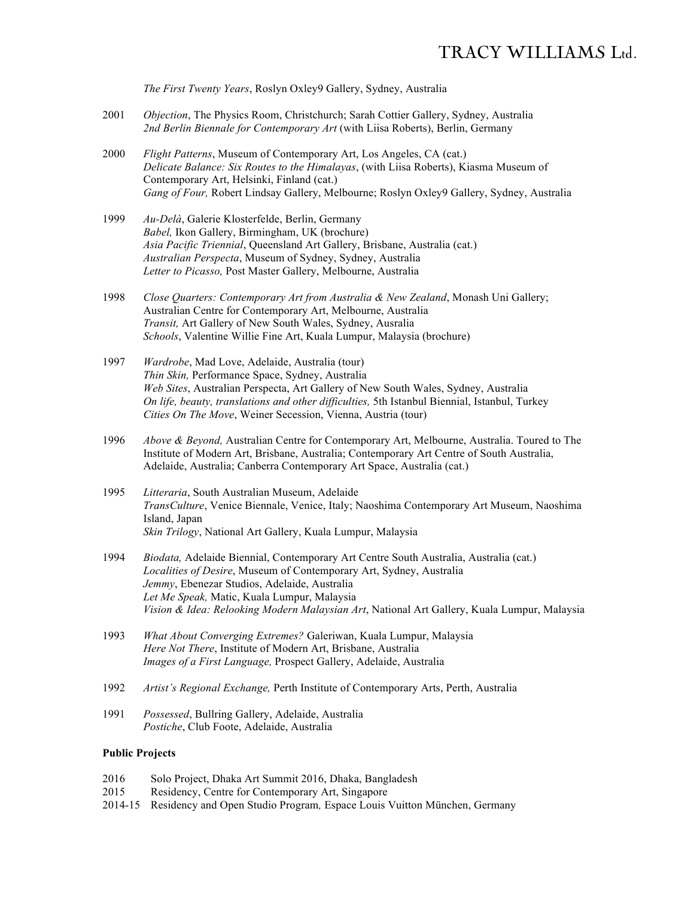*The First Twenty Years*, Roslyn Oxley9 Gallery, Sydney, Australia

- 2001 *Objection*, The Physics Room, Christchurch; Sarah Cottier Gallery, Sydney, Australia *2nd Berlin Biennale for Contemporary Art* (with Liisa Roberts), Berlin, Germany
- 2000 *Flight Patterns*, Museum of Contemporary Art, Los Angeles, CA (cat.) *Delicate Balance: Six Routes to the Himalayas*, (with Liisa Roberts), Kiasma Museum of Contemporary Art, Helsinki, Finland (cat.) *Gang of Four,* Robert Lindsay Gallery, Melbourne; Roslyn Oxley9 Gallery, Sydney, Australia
- 1999 *Au-Delà*, Galerie Klosterfelde, Berlin, Germany *Babel,* Ikon Gallery, Birmingham, UK (brochure) *Asia Pacific Triennial*, Queensland Art Gallery, Brisbane, Australia (cat.) *Australian Perspecta*, Museum of Sydney, Sydney, Australia *Letter to Picasso,* Post Master Gallery, Melbourne, Australia
- 1998 *Close Quarters: Contemporary Art from Australia & New Zealand*, Monash Uni Gallery; Australian Centre for Contemporary Art, Melbourne, Australia *Transit,* Art Gallery of New South Wales, Sydney, Ausralia *Schools*, Valentine Willie Fine Art, Kuala Lumpur, Malaysia (brochure)
- 1997 *Wardrobe*, Mad Love, Adelaide, Australia (tour) *Thin Skin,* Performance Space, Sydney, Australia *Web Sites*, Australian Perspecta, Art Gallery of New South Wales, Sydney, Australia *On life, beauty, translations and other difficulties,* 5th Istanbul Biennial, Istanbul, Turkey *Cities On The Move*, Weiner Secession, Vienna, Austria (tour)
- 1996 *Above & Beyond,* Australian Centre for Contemporary Art, Melbourne, Australia. Toured to The Institute of Modern Art, Brisbane, Australia; Contemporary Art Centre of South Australia, Adelaide, Australia; Canberra Contemporary Art Space, Australia (cat.)
- 1995 *Litteraria*, South Australian Museum, Adelaide *TransCulture*, Venice Biennale, Venice, Italy; Naoshima Contemporary Art Museum, Naoshima Island, Japan *Skin Trilogy*, National Art Gallery, Kuala Lumpur, Malaysia
- 1994 *Biodata,* Adelaide Biennial, Contemporary Art Centre South Australia, Australia (cat.) *Localities of Desire*, Museum of Contemporary Art, Sydney, Australia *Jemmy*, Ebenezar Studios, Adelaide, Australia *Let Me Speak,* Matic, Kuala Lumpur, Malaysia *Vision & Idea: Relooking Modern Malaysian Art*, National Art Gallery, Kuala Lumpur, Malaysia
- 1993 *What About Converging Extremes?* Galeriwan, Kuala Lumpur, Malaysia *Here Not There*, Institute of Modern Art, Brisbane, Australia *Images of a First Language,* Prospect Gallery, Adelaide, Australia
- 1992 *Artist's Regional Exchange,* Perth Institute of Contemporary Arts, Perth, Australia
- 1991 *Possessed*, Bullring Gallery, Adelaide, Australia *Postiche*, Club Foote, Adelaide, Australia

#### **Public Projects**

- 2016 Solo Project, Dhaka Art Summit 2016, Dhaka, Bangladesh
- 2015 Residency, Centre for Contemporary Art, Singapore
- 2014-15 Residency and Open Studio Program*,* Espace Louis Vuitton München, Germany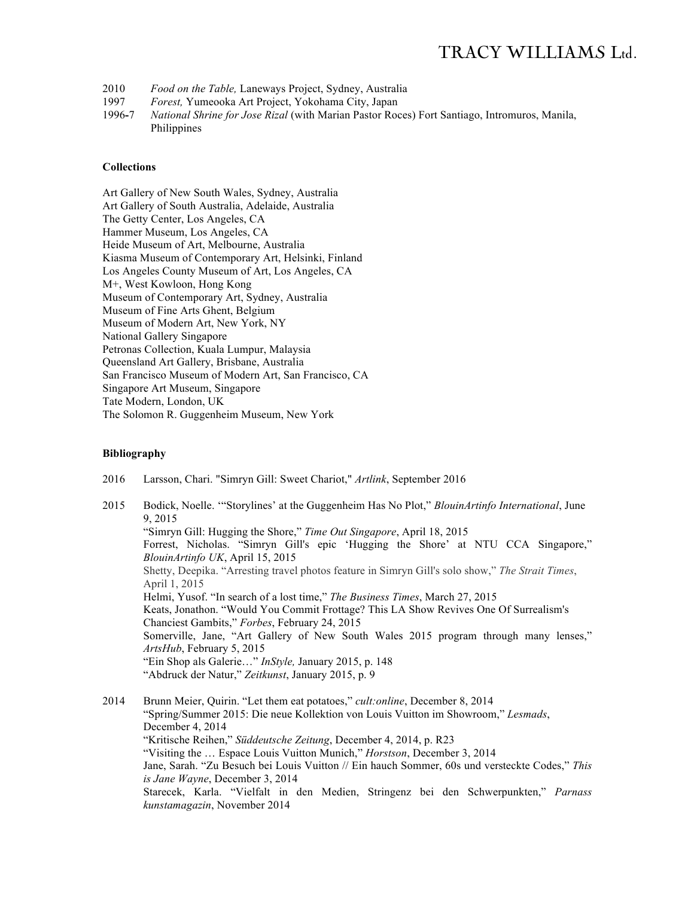- 2010 *Food on the Table,* Laneways Project, Sydney, Australia
- 1997 *Forest,* Yumeooka Art Project, Yokohama City, Japan
- 1996**-**7 *National Shrine for Jose Rizal* (with Marian Pastor Roces) Fort Santiago, Intromuros, Manila, Philippines

#### **Collections**

Art Gallery of New South Wales, Sydney, Australia Art Gallery of South Australia, Adelaide, Australia The Getty Center, Los Angeles, CA Hammer Museum, Los Angeles, CA Heide Museum of Art, Melbourne, Australia Kiasma Museum of Contemporary Art, Helsinki, Finland Los Angeles County Museum of Art, Los Angeles, CA M+, West Kowloon, Hong Kong Museum of Contemporary Art, Sydney, Australia Museum of Fine Arts Ghent, Belgium Museum of Modern Art, New York, NY National Gallery Singapore Petronas Collection, Kuala Lumpur, Malaysia Queensland Art Gallery, Brisbane, Australia San Francisco Museum of Modern Art, San Francisco, CA Singapore Art Museum, Singapore Tate Modern, London, UK The Solomon R. Guggenheim Museum, New York

#### **Bibliography**

2016 Larsson, Chari. "Simryn Gill: Sweet Chariot," *Artlink*, September 2016

2015 Bodick, Noelle. '"Storylines' at the Guggenheim Has No Plot," *BlouinArtinfo International*, June 9, 2015 "Simryn Gill: Hugging the Shore," *Time Out Singapore*, April 18, 2015 Forrest, Nicholas. "Simryn Gill's epic 'Hugging the Shore' at NTU CCA Singapore," *BlouinArtinfo UK*, April 15, 2015 Shetty, Deepika. "Arresting travel photos feature in Simryn Gill's solo show," *The Strait Times*, April 1, 2015 Helmi, Yusof. "In search of a lost time," *The Business Times*, March 27, 2015 Keats, Jonathon. "Would You Commit Frottage? This LA Show Revives One Of Surrealism's Chanciest Gambits," *Forbes*, February 24, 2015 Somerville, Jane, "Art Gallery of New South Wales 2015 program through many lenses," *ArtsHub*, February 5, 2015 "Ein Shop als Galerie…" *InStyle,* January 2015, p. 148 "Abdruck der Natur," *Zeitkunst*, January 2015, p. 9

2014 Brunn Meier, Quirin. "Let them eat potatoes," *cult:online*, December 8, 2014 "Spring/Summer 2015: Die neue Kollektion von Louis Vuitton im Showroom," *Lesmads*, December 4, 2014 "Kritische Reihen," *Süddeutsche Zeitung*, December 4, 2014, p. R23 "Visiting the … Espace Louis Vuitton Munich," *Horstson*, December 3, 2014 Jane, Sarah. "Zu Besuch bei Louis Vuitton // Ein hauch Sommer, 60s und versteckte Codes," *This is Jane Wayne*, December 3, 2014 Starecek, Karla. "Vielfalt in den Medien, Stringenz bei den Schwerpunkten," *Parnass kunstamagazin*, November 2014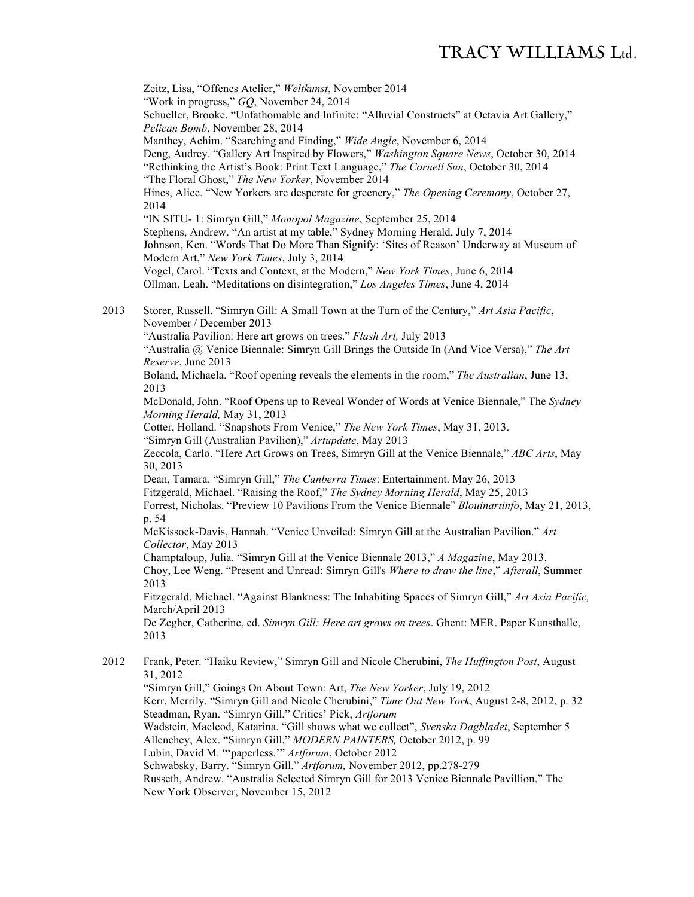Zeitz, Lisa, "Offenes Atelier," *Weltkunst*, November 2014 "Work in progress," *GQ*, November 24, 2014 Schueller, Brooke. "Unfathomable and Infinite: "Alluvial Constructs" at Octavia Art Gallery," *Pelican Bomb*, November 28, 2014 Manthey, Achim. "Searching and Finding," *Wide Angle*, November 6, 2014 Deng, Audrey. "Gallery Art Inspired by Flowers," *Washington Square News*, October 30, 2014 "Rethinking the Artist's Book: Print Text Language," *The Cornell Sun*, October 30, 2014 "The Floral Ghost," *The New Yorker*, November 2014 Hines, Alice. "New Yorkers are desperate for greenery," *The Opening Ceremony*, October 27, 2014 "IN SITU- 1: Simryn Gill," *Monopol Magazine*, September 25, 2014 Stephens, Andrew. "An artist at my table," Sydney Morning Herald, July 7, 2014 Johnson, Ken. "Words That Do More Than Signify: 'Sites of Reason' Underway at Museum of Modern Art," *New York Times*, July 3, 2014 Vogel, Carol. "Texts and Context, at the Modern," *New York Times*, June 6, 2014 Ollman, Leah. "Meditations on disintegration," *Los Angeles Times*, June 4, 2014 2013 Storer, Russell. "Simryn Gill: A Small Town at the Turn of the Century," *Art Asia Pacific*, November / December 2013 "Australia Pavilion: Here art grows on trees." *Flash Art,* July 2013 "Australia @ Venice Biennale: Simryn Gill Brings the Outside In (And Vice Versa)," *The Art Reserve*, June 2013 Boland, Michaela. "Roof opening reveals the elements in the room," *The Australian*, June 13, 2013 McDonald, John. "Roof Opens up to Reveal Wonder of Words at Venice Biennale," The *Sydney Morning Herald,* May 31, 2013 Cotter, Holland. "Snapshots From Venice," *The New York Times*, May 31, 2013. "Simryn Gill (Australian Pavilion)," *Artupdate*, May 2013 Zeccola, Carlo. "Here Art Grows on Trees, Simryn Gill at the Venice Biennale," *ABC Arts*, May 30, 2013 Dean, Tamara. "Simryn Gill," *The Canberra Times*: Entertainment. May 26, 2013 Fitzgerald, Michael. "Raising the Roof," *The Sydney Morning Herald*, May 25, 2013 Forrest, Nicholas. "Preview 10 Pavilions From the Venice Biennale" *Blouinartinfo*, May 21, 2013, p. 54 McKissock-Davis, Hannah. "Venice Unveiled: Simryn Gill at the Australian Pavilion." *Art Collector*, May 2013 Champtaloup, Julia. "Simryn Gill at the Venice Biennale 2013," *A Magazine*, May 2013. Choy, Lee Weng. "Present and Unread: Simryn Gill's *Where to draw the line*," *Afterall*, Summer 2013 Fitzgerald, Michael. "Against Blankness: The Inhabiting Spaces of Simryn Gill," *Art Asia Pacific,*  March/April 2013 De Zegher, Catherine, ed. *Simryn Gill: Here art grows on trees*. Ghent: MER. Paper Kunsthalle, 2013 2012 Frank, Peter. "Haiku Review," Simryn Gill and Nicole Cherubini, *The Huffington Post*, August 31, 2012 "Simryn Gill," Goings On About Town: Art, *The New Yorker*, July 19, 2012 Kerr, Merrily. "Simryn Gill and Nicole Cherubini," *Time Out New York*, August 2-8, 2012, p. 32

Steadman, Ryan. "Simryn Gill," Critics' Pick, *Artforum*

Wadstein, Macleod, Katarina. "Gill shows what we collect", *Svenska Dagbladet*, September 5 Allenchey, Alex. "Simryn Gill," *MODERN PAINTERS,* October 2012, p. 99

Lubin, David M. "'paperless.'" *Artforum*, October 2012

Schwabsky, Barry. "Simryn Gill." *Artforum,* November 2012, pp.278-279

Russeth, Andrew. "Australia Selected Simryn Gill for 2013 Venice Biennale Pavillion." The New York Observer, November 15, 2012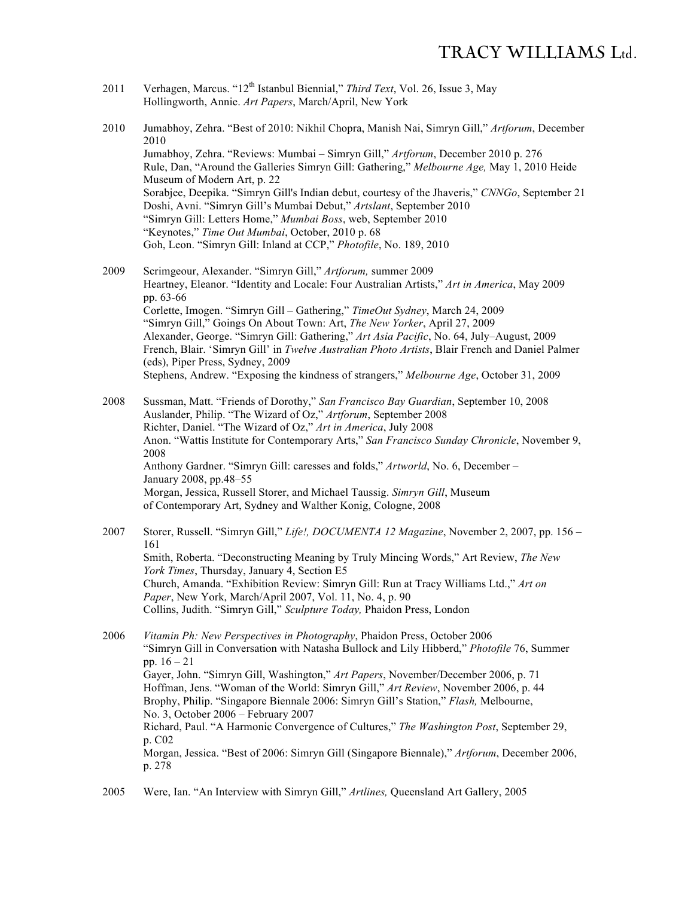- 2011 Verhagen, Marcus. "12th Istanbul Biennial," *Third Text*, Vol. 26, Issue 3, May Hollingworth, Annie. *Art Papers*, March/April, New York
- 2010 Jumabhoy, Zehra. "Best of 2010: Nikhil Chopra, Manish Nai, Simryn Gill," *Artforum*, December 2010 Jumabhoy, Zehra. "Reviews: Mumbai – Simryn Gill," *Artforum*, December 2010 p. 276 Rule, Dan, "Around the Galleries Simryn Gill: Gathering," *Melbourne Age,* May 1, 2010 Heide Museum of Modern Art, p. 22 Sorabjee, Deepika. "Simryn Gill's Indian debut, courtesy of the Jhaveris," *CNNGo*, September 21 Doshi, Avni. "Simryn Gill's Mumbai Debut," *Artslant*, September 2010 "Simryn Gill: Letters Home," *Mumbai Boss*, web, September 2010 "Keynotes," *Time Out Mumbai*, October, 2010 p. 68 Goh, Leon. "Simryn Gill: Inland at CCP," *Photofile*, No. 189, 2010
- 2009 Scrimgeour, Alexander. "Simryn Gill," *Artforum,* summer 2009 Heartney, Eleanor. "Identity and Locale: Four Australian Artists," *Art in America*, May 2009 pp. 63-66 Corlette, Imogen. "Simryn Gill – Gathering," *TimeOut Sydney*, March 24, 2009 "Simryn Gill," Goings On About Town: Art, *The New Yorker*, April 27, 2009 Alexander, George. "Simryn Gill: Gathering," *Art Asia Pacific*, No. 64, July–August, 2009 French, Blair. 'Simryn Gill' in *Twelve Australian Photo Artists*, Blair French and Daniel Palmer (eds), Piper Press, Sydney, 2009 Stephens, Andrew. "Exposing the kindness of strangers," *Melbourne Age*, October 31, 2009
- 2008 Sussman, Matt. "Friends of Dorothy," *San Francisco Bay Guardian*, September 10, 2008 Auslander, Philip. "The Wizard of Oz," *Artforum*, September 2008 Richter, Daniel. "The Wizard of Oz," *Art in America*, July 2008 Anon. "Wattis Institute for Contemporary Arts," *San Francisco Sunday Chronicle*, November 9, 2008 Anthony Gardner. "Simryn Gill: caresses and folds," *Artworld*, No. 6, December – January 2008, pp.48–55 Morgan, Jessica, Russell Storer, and Michael Taussig. *Simryn Gill*, Museum of Contemporary Art, Sydney and Walther Konig, Cologne, 2008

2007 Storer, Russell. "Simryn Gill," *Life!, DOCUMENTA 12 Magazine*, November 2, 2007, pp. 156 – 161 Smith, Roberta. "Deconstructing Meaning by Truly Mincing Words," Art Review, *The New York Times*, Thursday, January 4, Section E5 Church, Amanda. "Exhibition Review: Simryn Gill: Run at Tracy Williams Ltd.," *Art on Paper*, New York, March/April 2007, Vol. 11, No. 4, p. 90 Collins, Judith. "Simryn Gill," *Sculpture Today,* Phaidon Press, London

2006 *Vitamin Ph: New Perspectives in Photography*, Phaidon Press, October 2006 "Simryn Gill in Conversation with Natasha Bullock and Lily Hibberd," *Photofile* 76, Summer pp. 16 – 21 Gayer, John. "Simryn Gill, Washington," *Art Papers*, November/December 2006, p. 71 Hoffman, Jens. "Woman of the World: Simryn Gill," *Art Review*, November 2006, p. 44 Brophy, Philip. "Singapore Biennale 2006: Simryn Gill's Station," *Flash,* Melbourne, No. 3, October 2006 – February 2007 Richard, Paul. "A Harmonic Convergence of Cultures," *The Washington Post*, September 29, p. C02 Morgan, Jessica. "Best of 2006: Simryn Gill (Singapore Biennale)," *Artforum*, December 2006, p. 278

2005 Were, Ian. "An Interview with Simryn Gill," *Artlines,* Queensland Art Gallery, 2005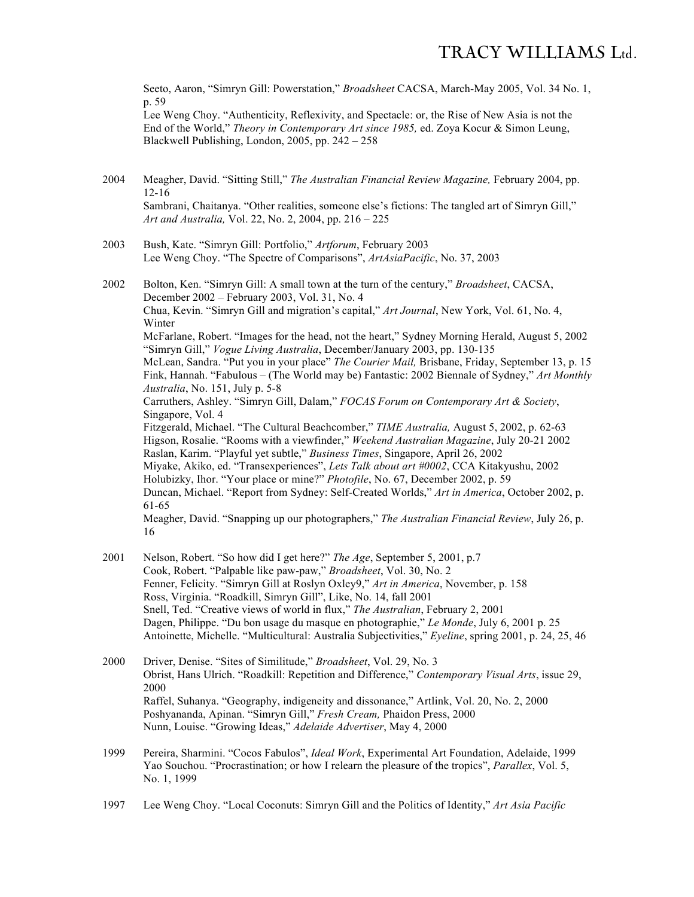Seeto, Aaron, "Simryn Gill: Powerstation," *Broadsheet* CACSA, March-May 2005, Vol. 34 No. 1, p. 59

Lee Weng Choy. "Authenticity, Reflexivity, and Spectacle: or, the Rise of New Asia is not the End of the World," *Theory in Contemporary Art since 1985,* ed. Zoya Kocur & Simon Leung, Blackwell Publishing, London, 2005, pp. 242 – 258

- 2004 Meagher, David. "Sitting Still," *The Australian Financial Review Magazine,* February 2004, pp. 12-16 Sambrani, Chaitanya. "Other realities, someone else's fictions: The tangled art of Simryn Gill," *Art and Australia,* Vol. 22, No. 2, 2004, pp. 216 – 225
- 2003 Bush, Kate. "Simryn Gill: Portfolio," *Artforum*, February 2003 Lee Weng Choy. "The Spectre of Comparisons", *ArtAsiaPacific*, No. 37, 2003
- 2002 Bolton, Ken. "Simryn Gill: A small town at the turn of the century," *Broadsheet*, CACSA, December 2002 – February 2003, Vol. 31, No. 4 Chua, Kevin. "Simryn Gill and migration's capital," *Art Journal*, New York, Vol. 61, No. 4, Winter McFarlane, Robert. "Images for the head, not the heart," Sydney Morning Herald, August 5, 2002 "Simryn Gill," *Vogue Living Australia*, December/January 2003, pp. 130-135 McLean, Sandra. "Put you in your place" *The Courier Mail,* Brisbane, Friday, September 13, p. 15 Fink, Hannah. "Fabulous – (The World may be) Fantastic: 2002 Biennale of Sydney," *Art Monthly Australia*, No. 151, July p. 5-8 Carruthers, Ashley. "Simryn Gill, Dalam," *FOCAS Forum on Contemporary Art & Society*, Singapore, Vol. 4 Fitzgerald, Michael. "The Cultural Beachcomber," *TIME Australia,* August 5, 2002, p. 62-63 Higson, Rosalie. "Rooms with a viewfinder," *Weekend Australian Magazine*, July 20-21 2002 Raslan, Karim. "Playful yet subtle," *Business Times*, Singapore, April 26, 2002 Miyake, Akiko, ed. "Transexperiences", *Lets Talk about art #0002*, CCA Kitakyushu, 2002 Holubizky, Ihor. "Your place or mine?" *Photofile*, No. 67, December 2002, p. 59 Duncan, Michael. "Report from Sydney: Self-Created Worlds," *Art in America*, October 2002, p. 61-65 Meagher, David. "Snapping up our photographers," *The Australian Financial Review*, July 26, p. 16
- 2001 Nelson, Robert. "So how did I get here?" *The Age*, September 5, 2001, p.7 Cook, Robert. "Palpable like paw-paw," *Broadsheet*, Vol. 30, No. 2 Fenner, Felicity. "Simryn Gill at Roslyn Oxley9," *Art in America*, November, p. 158 Ross, Virginia. "Roadkill, Simryn Gill", Like, No. 14, fall 2001 Snell, Ted. "Creative views of world in flux," *The Australian*, February 2, 2001 Dagen, Philippe. "Du bon usage du masque en photographie," *Le Monde*, July 6, 2001 p. 25 Antoinette, Michelle. "Multicultural: Australia Subjectivities," *Eyeline*, spring 2001, p. 24, 25, 46
- 2000 Driver, Denise. "Sites of Similitude," *Broadsheet*, Vol. 29, No. 3 Obrist, Hans Ulrich. "Roadkill: Repetition and Difference," *Contemporary Visual Arts*, issue 29, 2000 Raffel, Suhanya. "Geography, indigeneity and dissonance," Artlink, Vol. 20, No. 2, 2000 Poshyananda, Apinan. "Simryn Gill," *Fresh Cream,* Phaidon Press, 2000 Nunn, Louise. "Growing Ideas," *Adelaide Advertiser*, May 4, 2000
- 1999 Pereira, Sharmini. "Cocos Fabulos", *Ideal Work*, Experimental Art Foundation, Adelaide, 1999 Yao Souchou. "Procrastination; or how I relearn the pleasure of the tropics", *Parallex*, Vol. 5, No. 1, 1999
- 1997 Lee Weng Choy. "Local Coconuts: Simryn Gill and the Politics of Identity," *Art Asia Pacific*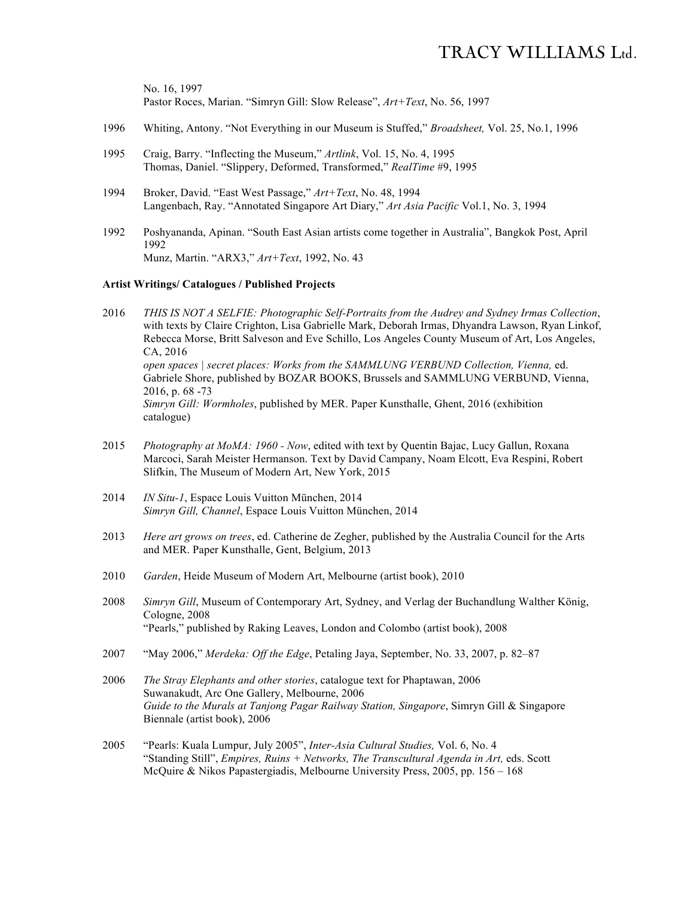No. 16, 1997 Pastor Roces, Marian. "Simryn Gill: Slow Release", *Art+Text*, No. 56, 1997

- 1996 Whiting, Antony. "Not Everything in our Museum is Stuffed," *Broadsheet,* Vol. 25, No.1, 1996
- 1995 Craig, Barry. "Inflecting the Museum," *Artlink*, Vol. 15, No. 4, 1995 Thomas, Daniel. "Slippery, Deformed, Transformed," *RealTime* #9, 1995
- 1994 Broker, David. "East West Passage," *Art+Text*, No. 48, 1994 Langenbach, Ray. "Annotated Singapore Art Diary," *Art Asia Pacific* Vol.1, No. 3, 1994
- 1992 Poshyananda, Apinan. "South East Asian artists come together in Australia", Bangkok Post, April 1992 Munz, Martin. "ARX3," *Art+Text*, 1992, No. 43

#### **Artist Writings/ Catalogues / Published Projects**

- 2016 *THIS IS NOT A SELFIE: Photographic Self-Portraits from the Audrey and Sydney Irmas Collection*, with texts by Claire Crighton, Lisa Gabrielle Mark, Deborah Irmas, Dhyandra Lawson, Ryan Linkof, Rebecca Morse, Britt Salveson and Eve Schillo, Los Angeles County Museum of Art, Los Angeles, CA, 2016 *open spaces | secret places: Works from the SAMMLUNG VERBUND Collection, Vienna,* ed. Gabriele Shore, published by BOZAR BOOKS, Brussels and SAMMLUNG VERBUND, Vienna, 2016, p. 68 -73 *Simryn Gill: Wormholes*, published by MER. Paper Kunsthalle, Ghent, 2016 (exhibition catalogue)
- 2015 *Photography at MoMA: 1960 - Now*, edited with text by Quentin Bajac, Lucy Gallun, Roxana Marcoci, Sarah Meister Hermanson. Text by David Campany, Noam Elcott, Eva Respini, Robert Slifkin, The Museum of Modern Art, New York, 2015
- 2014 *IN Situ-1*, Espace Louis Vuitton München, 2014 *Simryn Gill, Channel*, Espace Louis Vuitton München, 2014
- 2013 *Here art grows on trees*, ed. Catherine de Zegher, published by the Australia Council for the Arts and MER. Paper Kunsthalle, Gent, Belgium, 2013
- 2010 *Garden*, Heide Museum of Modern Art, Melbourne (artist book), 2010
- 2008 *Simryn Gill*, Museum of Contemporary Art, Sydney, and Verlag der Buchandlung Walther König, Cologne, 2008 "Pearls," published by Raking Leaves, London and Colombo (artist book), 2008
- 2007 "May 2006," *Merdeka: Off the Edge*, Petaling Jaya, September, No. 33, 2007, p. 82–87
- 2006 *The Stray Elephants and other stories*, catalogue text for Phaptawan, 2006 Suwanakudt, Arc One Gallery, Melbourne, 2006 *Guide to the Murals at Tanjong Pagar Railway Station, Singapore*, Simryn Gill & Singapore Biennale (artist book), 2006
- 2005 "Pearls: Kuala Lumpur, July 2005", *Inter-Asia Cultural Studies,* Vol. 6, No. 4 "Standing Still", *Empires, Ruins + Networks, The Transcultural Agenda in Art,* eds. Scott McQuire & Nikos Papastergiadis, Melbourne University Press, 2005, pp. 156 – 168